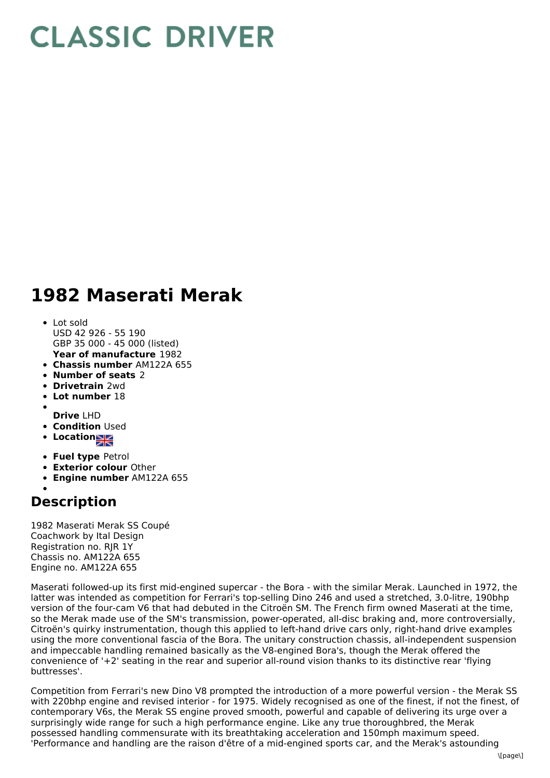## **CLASSIC DRIVER**

## **1982 Maserati Merak**

- **Year of manufacture** 1982 Lot sold USD 42 926 - 55 190 GBP 35 000 - 45 000 (listed)
- **Chassis number** AM122A 655
- **Number of seats** 2
- **Drivetrain** 2wd
- **Lot number** 18
- **Drive** LHD
- **Condition Used**
- 
- **Locations**
- **Fuel type** Petrol
- **Exterior colour** Other
- **Engine number** AM122A 655

## **Description**

1982 Maserati Merak SS Coupé Coachwork by Ital Design Registration no. RJR 1Y Chassis no. AM122A 655 Engine no. AM122A 655

Maserati followed-up its first mid-engined supercar - the Bora - with the similar Merak. Launched in 1972, the latter was intended as competition for Ferrari's top-selling Dino 246 and used a stretched, 3.0-litre, 190bhp version of the four-cam V6 that had debuted in the Citroën SM. The French firm owned Maserati at the time, so the Merak made use of the SM's transmission, power-operated, all-disc braking and, more controversially, Citroën's quirky instrumentation, though this applied to left-hand drive cars only, right-hand drive examples using the more conventional fascia of the Bora. The unitary construction chassis, all-independent suspension and impeccable handling remained basically as the V8-engined Bora's, though the Merak offered the convenience of '+2' seating in the rear and superior all-round vision thanks to its distinctive rear 'flying buttresses'.

Competition from Ferrari's new Dino V8 prompted the introduction of a more powerful version - the Merak SS with 220bhp engine and revised interior - for 1975. Widely recognised as one of the finest, if not the finest, of contemporary V6s, the Merak SS engine proved smooth, powerful and capable of delivering its urge over a surprisingly wide range for such a high performance engine. Like any true thoroughbred, the Merak possessed handling commensurate with its breathtaking acceleration and 150mph maximum speed. 'Performance and handling are the raison d'être of a mid-engined sports car, and the Merak's astounding